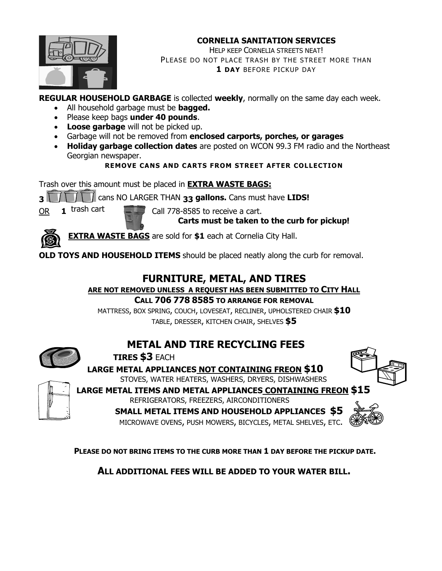#### **CORNELIA SANITATION SERVICES**



HELP KEEP CORNELIA STREETS NEAT! PLEASE DO NOT PLACE TRASH BY THE STREET MORE THAN **1 DAY** BEFORE PICKUP DAY

**REGULAR HOUSEHOLD GARBAGE** is collected **weekly**, normally on the same day each week.

- All household garbage must be **bagged.**
- Please keep bags **under 40 pounds**.
- **Loose garbage** will not be picked up.
- Garbage will not be removed from **enclosed carports, porches, or garages**
- **Holiday garbage collection dates** are posted on WCON 99.3 FM radio and the Northeast Georgian newspaper.

**REMOVE CANS AND CARTS FROM STREET AFTER COLLECTION**

Trash over this amount must be placed in **EXTRA WASTE BAGS:**

**3** cans NO LARGER THAN **33 gallons.** Cans must have **LIDS!**

OR **1** trash cart Call 778-8585 to receive a cart.

**Carts must be taken to the curb for pickup!**

**EXTRA WASTE BAGS** are sold for **\$1** each at Cornelia City Hall.

**OLD TOYS AND HOUSEHOLD ITEMS** should be placed neatly along the curb for removal.

# **FURNITURE, METAL, AND TIRES**

**ARE NOT REMOVED UNLESS A REQUEST HAS BEEN SUBMITTED TO CITY HALL**

**CALL 706 778 8585 TO ARRANGE FOR REMOVAL**

MATTRESS, BOX SPRING, COUCH, LOVESEAT, RECLINER, UPHOLSTERED CHAIR **\$10** TABLE, DRESSER, KITCHEN CHAIR, SHELVES **\$5**



# **METAL AND TIRE RECYCLING FEES**

**TIRES \$3** EACH

**LARGE METAL APPLIANCES NOT CONTAINING FREON \$10** STOVES, WATER HEATERS, WASHERS, DRYERS, DISHWASHERS



**LARGE METAL ITEMS AND METAL APPLIANCES CONTAINING FREON \$15**

REFRIGERATORS, FREEZERS, AIRCONDITIONERS **SMALL METAL ITEMS AND HOUSEHOLD APPLIANCES \$5**

MICROWAVE OVENS, PUSH MOWERS, BICYCLES, METAL SHELVES, ETC.



**PLEASE DO NOT BRING ITEMS TO THE CURB MORE THAN 1 DAY BEFORE THE PICKUP DATE.**

**ALL ADDITIONAL FEES WILL BE ADDED TO YOUR WATER BILL.**